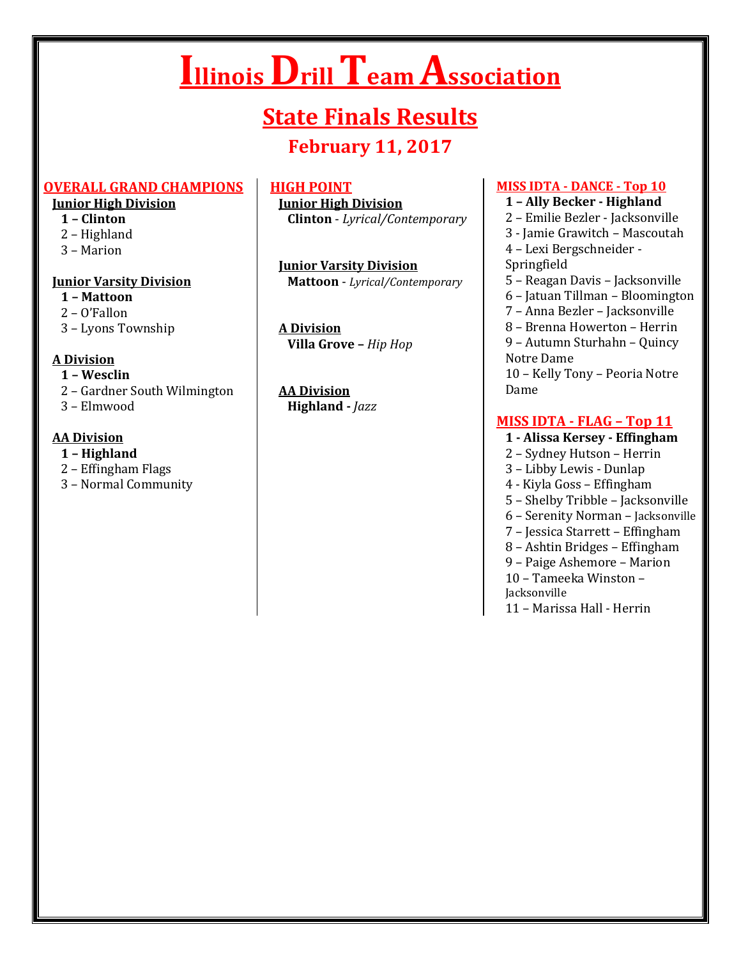# **Illinois Drill Team Association**

# **State Finals Results**

# **February 11, 2017**

#### **OVERALL GRAND CHAMPIONS**

#### **Junior High Division**

- **1 – Clinton**
- 2 Highland
- 3 Marion

#### **Junior Varsity Division**

- **1 – Mattoon**
- 2 O'Fallon
- 3 Lyons Township

# **A Division**

- **1 – Wesclin**
- 2 Gardner South Wilmington
- 3 Elmwood

# **AA Division**

- **1 – Highland**
- 2 Effingham Flags
- 3 Normal Community

# **HIGH POINT**

**Junior High Division Clinton** - *Lyrical/Contemporary*

**Junior Varsity Division Mattoon** - *Lyrical/Contemporary*

**A Division Villa Grove –** *Hip Hop*

**AA Division Highland -** *Jazz*

#### **MISS IDTA - DANCE - Top 10**

#### **1 – Ally Becker - Highland**

- 2 Emilie Bezler Jacksonville
- 3 Jamie Grawitch Mascoutah 4 – Lexi Bergschneider - Springfield
- 5 Reagan Davis Jacksonville
- 6 Jatuan Tillman Bloomington
- 7 Anna Bezler Jacksonville
- 8 Brenna Howerton Herrin

9 – Autumn Sturhahn – Quincy Notre Dame

10 – Kelly Tony – Peoria Notre Dame

# **MISS IDTA - FLAG – Top 11**

- **1 - Alissa Kersey - Effingham**
- 2 Sydney Hutson Herrin
- 3 Libby Lewis Dunlap
- 4 Kiyla Goss Effingham
- 5 Shelby Tribble Jacksonville
- 6 Serenity Norman Jacksonville
- 7 Jessica Starrett Effingham
- 8 Ashtin Bridges Effingham
- 9 Paige Ashemore Marion

10 – Tameeka Winston –

Jacksonville

11 – Marissa Hall - Herrin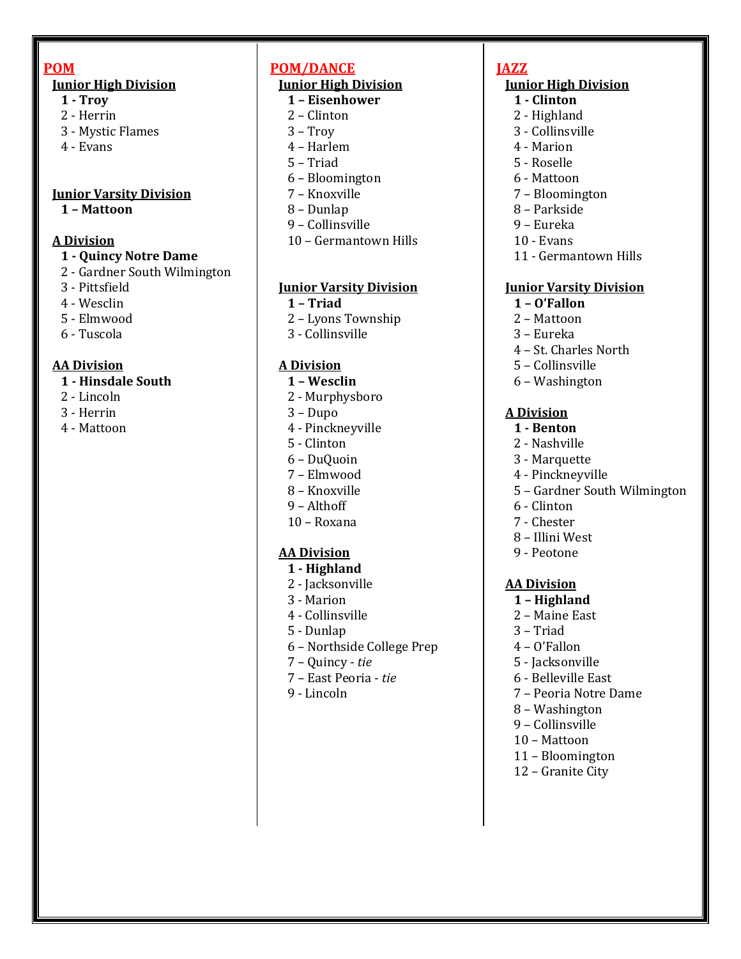#### **POM**

#### **Junior High Division**

- **1 - Troy**
- 2 Herrin
- 3 Mystic Flames
- 4 Evans

#### **Junior Varsity Division**

 **1 – Mattoon**

#### **A Division**

#### **1 - Quincy Notre Dame**

- 2 Gardner South Wilmington
- 3 Pittsfield
- 4 Wesclin
- 5 Elmwood
- 6 Tuscola

#### **AA Division**

#### **1 - Hinsdale South**

- 2 Lincoln
- 3 Herrin
- 4 Mattoon

## **POM/DANCE**

# **Junior High Division**

- **1 – Eisenhower**
- 2 Clinton
- 3 Troy
- 4 Harlem
- 5 Triad
- 6 Bloomington
- 7 Knoxville
- 8 Dunlap
- 9 Collinsville
- 10 Germantown Hills

#### **Junior Varsity Division**

- **1 – Triad**
- 2 Lyons Township
- 3 Collinsville

#### **A Division**

- **1 – Wesclin**
- 2 Murphysboro
- 3 Dupo
- 4 Pinckneyville
- 5 Clinton
- 6 DuQuoin
- 7 Elmwood
- 8 Knoxville
- 9 Althoff
- 10 Roxana

#### **AA Division**

- **1 - Highland**
- 2 Jacksonville
- 3 Marion
- 4 Collinsville
- 5 Dunlap
- 6 Northside College Prep
- 7 Quincy *tie*
- 7 East Peoria *tie*
- 9 Lincoln

# **JAZZ**

#### **Junior High Division**

- **1 - Clinton**
- 2 Highland
- 3 Collinsville
- 4 Marion
- 5 Roselle
- 6 Mattoon
- 7 Bloomington
- 8 Parkside
- 9 Eureka
- 10 Evans
- 11 Germantown Hills

#### **Junior Varsity Division**

- **1 – O'Fallon**
- 2 Mattoon
- 3 Eureka
- 4 St. Charles North
- 5 Collinsville
- 6 Washington

#### **A Division**

- **1 - Benton**
- 2 Nashville
- 3 Marquette
- 4 Pinckneyville
- 5 Gardner South Wilmington
- 6 Clinton
- 7 Chester
- 8 Illini West
- 9 Peotone

#### **AA Division**

- **1 – Highland**
- 2 Maine East
- 3 Triad
- 4 O'Fallon
- 5 Jacksonville
- 6 Belleville East
- 7 Peoria Notre Dame
- 8 Washington
- 9 Collinsville
- 10 Mattoon
- 11 Bloomington
- 12 Granite City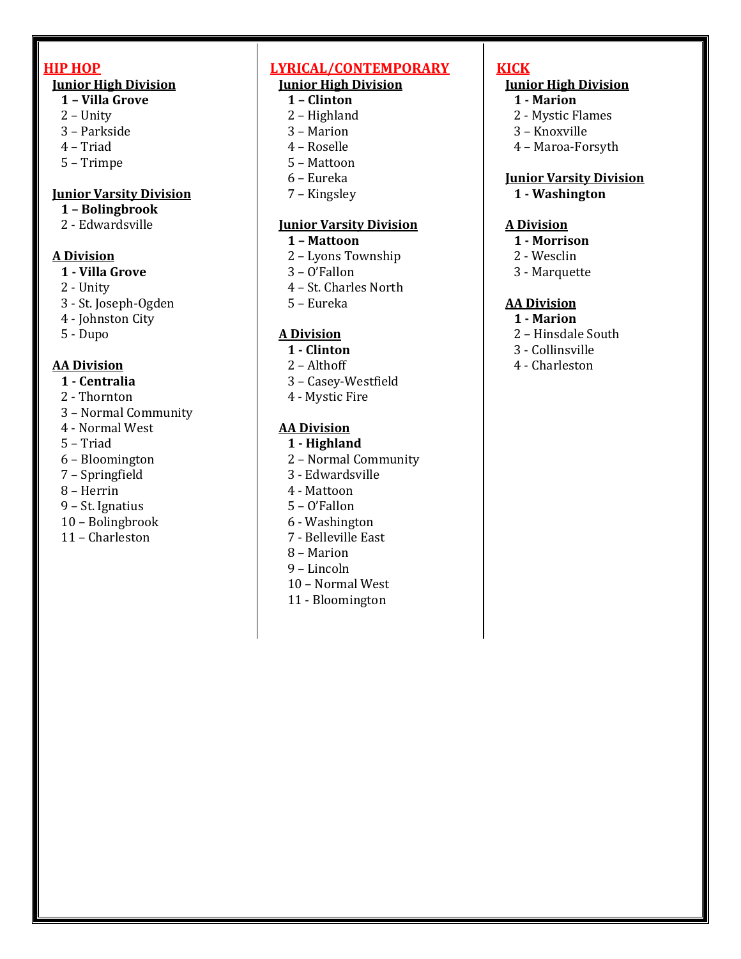#### **HIP HOP**

#### **Junior High Division**

- **1 – Villa Grove**
- 2 Unity
- 3 Parkside
- 4 Triad
- 5 Trimpe

#### **Junior Varsity Division**

# **1 – Bolingbrook**

2 - Edwardsville

#### **A Division**

- **1 - Villa Grove**
- 2 Unity
- 3 St. Joseph-Ogden
- 4 Johnston City
- 5 Dupo

#### **AA Division**

- **1 - Centralia**
- 2 Thornton
- 3 Normal Community
- 4 Normal West
- 5 Triad
- 6 Bloomington
- 7 Springfield
- 8 Herrin
- 9 St. Ignatius
- 10 Bolingbrook
- 11 Charleston

# **LYRICAL/CONTEMPORARY**

# **Junior High Division**

- **1 – Clinton**
- 2 Highland
- 3 Marion
- 4 Roselle 5 – Mattoon
- 6 Eureka
- 
- 7 Kingsley

#### **Junior Varsity Division**

- **1 – Mattoon**
- 2 Lyons Township
- 3 O'Fallon
- 4 St. Charles North
- 5 Eureka

## **A Division**

- **1 - Clinton**
- 2 Althoff
- 3 Casey-Westfield
- 4 Mystic Fire

#### **AA Division**

- **1 - Highland**
- 2 Normal Community
- 3 Edwardsville
- 4 Mattoon
- 5 O'Fallon
- 6 Washington
- 7 Belleville East
- 8 Marion
- 9 Lincoln
- 10 Normal West
- 11 Bloomington

# **KICK**

## **Junior High Division**

- **1 - Marion**
- 2 Mystic Flames
- 3 Knoxville
- 4 Maroa-Forsyth

#### **Junior Varsity Division**

**1 - Washington**

#### **A Division**

#### **1 - Morrison**

- 2 Wesclin
- 3 Marquette

#### **AA Division**

- **1 - Marion**
- 2 Hinsdale South
- 3 Collinsville
- 4 Charleston